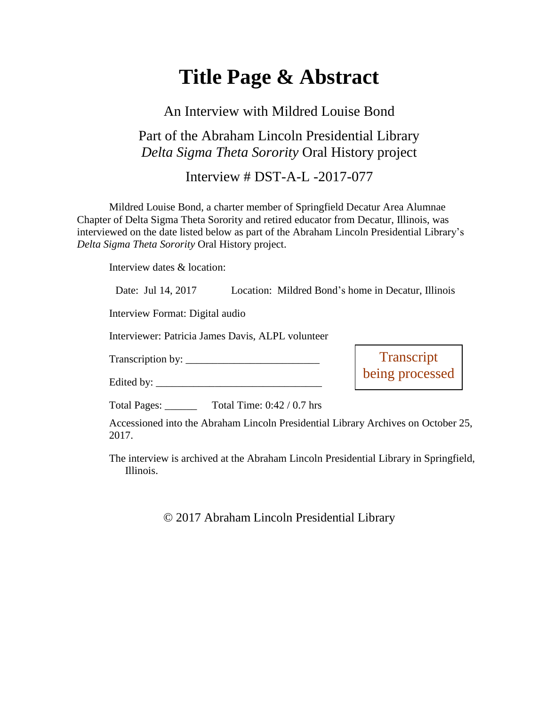## **Title Page & Abstract**

## An Interview with Mildred Louise Bond Part of the Abraham Lincoln Presidential Library *Delta Sigma Theta Sorority* Oral History project

Interview # DST-A-L -2017-077

Mildred Louise Bond, a charter member of Springfield Decatur Area Alumnae Chapter of Delta Sigma Theta Sorority and retired educator from Decatur, Illinois, was interviewed on the date listed below as part of the Abraham Lincoln Presidential Library's *Delta Sigma Theta Sorority* Oral History project.

Interview dates & location:

| Date: Jul 14, 2017                                | Location: Mildred Bond's home in Decatur, Illinois                                |
|---------------------------------------------------|-----------------------------------------------------------------------------------|
| Interview Format: Digital audio                   |                                                                                   |
| Interviewer: Patricia James Davis, ALPL volunteer |                                                                                   |
|                                                   | Transcript<br>being processed                                                     |
|                                                   |                                                                                   |
| Total Pages: Total Time: 0:42 / 0.7 hrs           |                                                                                   |
| 2017.                                             | Accessioned into the Abraham Lincoln Presidential Library Archives on October 25, |

The interview is archived at the Abraham Lincoln Presidential Library in Springfield, Illinois.

© 2017 Abraham Lincoln Presidential Library